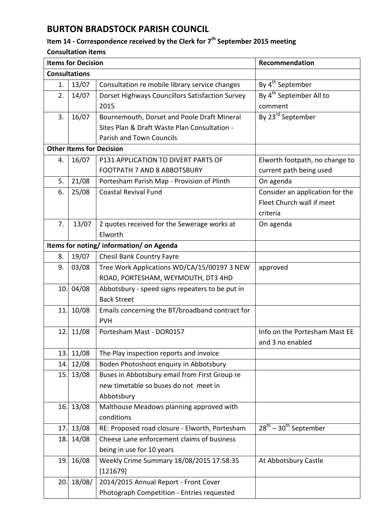## **BURTON BRADSTOCK PARISH COUNCIL**

## **Item 14 - Correspondence received by the Clerk for 7 th September 2015 meeting**

## **Consultation items**

|                                        | <b>Items for Decision</b> |                                                 | Recommendation                      |  |  |
|----------------------------------------|---------------------------|-------------------------------------------------|-------------------------------------|--|--|
| <b>Consultations</b>                   |                           |                                                 |                                     |  |  |
| 1.                                     | 13/07                     | Consultation re mobile library service changes  | By 4 <sup>th</sup> September        |  |  |
| 2.                                     | 14/07                     | Dorset Highways Councillors Satisfaction Survey | By 4 <sup>th</sup> September All to |  |  |
|                                        |                           | 2015                                            | comment                             |  |  |
| 3.                                     | 16/07                     | Bournemouth, Dorset and Poole Draft Mineral     | By 23 <sup>rd</sup> September       |  |  |
|                                        |                           | Sites Plan & Draft Waste Plan Consultation -    |                                     |  |  |
|                                        |                           | Parish and Town Councils                        |                                     |  |  |
| <b>Other Items for Decision</b>        |                           |                                                 |                                     |  |  |
| 4.                                     | 16/07                     | P131 APPLICATION TO DIVERT PARTS OF             | Elworth footpath, no change to      |  |  |
|                                        |                           | <b>FOOTPATH 7 AND 8 ABBOTSBURY</b>              | current path being used             |  |  |
| 5.                                     | 21/08                     | Portesham Parish Map - Provision of Plinth      | On agenda                           |  |  |
| 6.                                     | 25/08                     | <b>Coastal Revival Fund</b>                     | Consider an application for the     |  |  |
|                                        |                           |                                                 | Fleet Church wall if meet           |  |  |
|                                        |                           |                                                 | criteria                            |  |  |
| 7.                                     | 13/07                     | 2 quotes received for the Sewerage works at     | On agenda                           |  |  |
|                                        |                           | Elworth                                         |                                     |  |  |
| Items for noting/information/on Agenda |                           |                                                 |                                     |  |  |
| 8.                                     | 19/07                     | <b>Chesil Bank Country Fayre</b>                |                                     |  |  |
| 9.                                     | 03/08                     | Tree Work Applications WD/CA/15/00197 3 NEW     | approved                            |  |  |
|                                        |                           | ROAD, PORTESHAM, WEYMOUTH, DT3 4HD              |                                     |  |  |
| 10.                                    | 04/08                     | Abbotsbury - speed signs repeaters to be put in |                                     |  |  |
|                                        |                           | <b>Back Street</b>                              |                                     |  |  |
| 11.                                    | 10/08                     | Emails concerning the BT/broadband contract for |                                     |  |  |
|                                        |                           | <b>PVH</b>                                      |                                     |  |  |
| 12.                                    | 11/08                     | Portesham Mast - DOR0157                        | Info on the Portesham Mast EE       |  |  |
|                                        |                           |                                                 | and 3 no enabled                    |  |  |
| 13.                                    | 11/08                     | The Play inspection reports and invoice         |                                     |  |  |
| 14.                                    | 12/08                     | Boden Photoshoot enquiry in Abbotsbury          |                                     |  |  |
| 15.                                    | 13/08                     | Buses in Abbotsbury email from First Group re   |                                     |  |  |
|                                        |                           | new timetable so buses do not meet in           |                                     |  |  |
|                                        |                           | Abbotsbury                                      |                                     |  |  |
| 16.                                    | 13/08                     | Malthouse Meadows planning approved with        |                                     |  |  |
|                                        |                           | conditions                                      |                                     |  |  |
| 17.                                    | 13/08                     | RE: Proposed road closure - Elworth, Portesham  | $28^{th}$ – $30^{th}$ September     |  |  |
| 18.                                    | 14/08                     | Cheese Lane enforcement claims of business      |                                     |  |  |
|                                        |                           | being in use for 10 years                       |                                     |  |  |
| 19.                                    | 16/08                     | Weekly Crime Summary 18/08/2015 17:58:35        | At Abbotsbury Castle                |  |  |
|                                        |                           | [121679]                                        |                                     |  |  |
| 20.                                    | 18/08/                    | 2014/2015 Annual Report - Front Cover           |                                     |  |  |
|                                        |                           | Photograph Competition - Entries requested      |                                     |  |  |